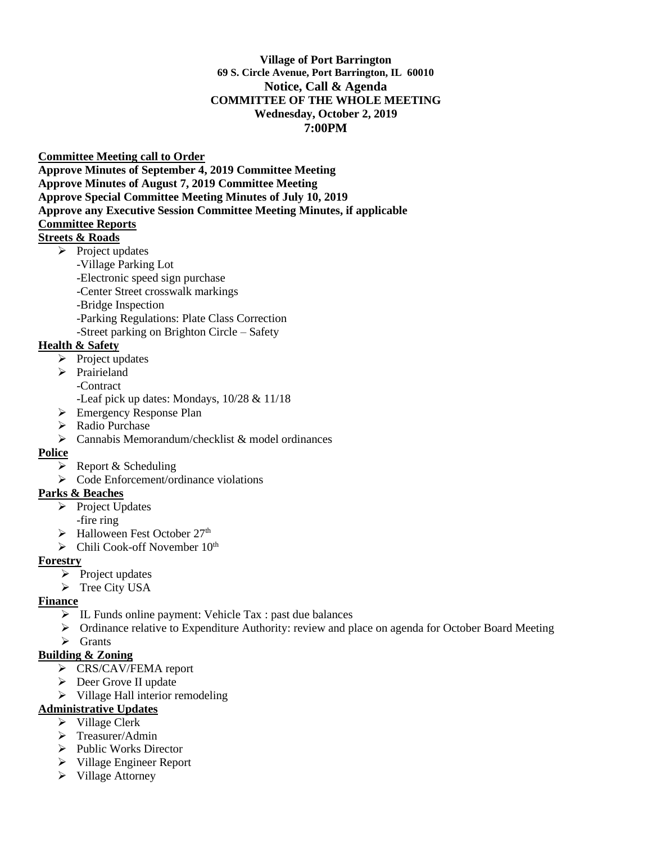#### **Village of Port Barrington 69 S. Circle Avenue, Port Barrington, IL 60010 Notice, Call & Agenda COMMITTEE OF THE WHOLE MEETING Wednesday, October 2, 2019 7:00PM**

**Committee Meeting call to Order** 

**Approve Minutes of September 4, 2019 Committee Meeting Approve Minutes of August 7, 2019 Committee Meeting Approve Special Committee Meeting Minutes of July 10, 2019 Approve any Executive Session Committee Meeting Minutes, if applicable Committee Reports** 

## **Streets & Roads**

- $\triangleright$  Project updates
	- -Village Parking Lot
	- -Electronic speed sign purchase
	- -Center Street crosswalk markings
	- -Bridge Inspection
	- -Parking Regulations: Plate Class Correction
	- -Street parking on Brighton Circle Safety

## **Health & Safety**

- ➢ Project updates
- ➢ Prairieland
	- -Contract
	- -Leaf pick up dates: Mondays, 10/28 & 11/18
- ➢ Emergency Response Plan
- ➢ Radio Purchase
- $\triangleright$  Cannabis Memorandum/checklist & model ordinances

#### **Police**

- $\triangleright$  Report & Scheduling
- ➢ Code Enforcement/ordinance violations

## **Parks & Beaches**

- ➢ Project Updates
	- -fire ring
- $\blacktriangleright$  Halloween Fest October 27<sup>th</sup>
- $\triangleright$  Chili Cook-off November 10<sup>th</sup>

#### **Forestry**

- ➢ Project updates
- ➢ Tree City USA

## **Finance**

- ➢ IL Funds online payment: Vehicle Tax : past due balances
- $\triangleright$  Ordinance relative to Expenditure Authority: review and place on agenda for October Board Meeting
- ➢ Grants

## **Building & Zoning**

- ➢ CRS/CAV/FEMA report
- ➢ Deer Grove II update
- ➢ Village Hall interior remodeling

## **Administrative Updates**

- ➢ Village Clerk
- ➢ Treasurer/Admin
- ➢ Public Works Director
- ➢ Village Engineer Report
- ➢ Village Attorney